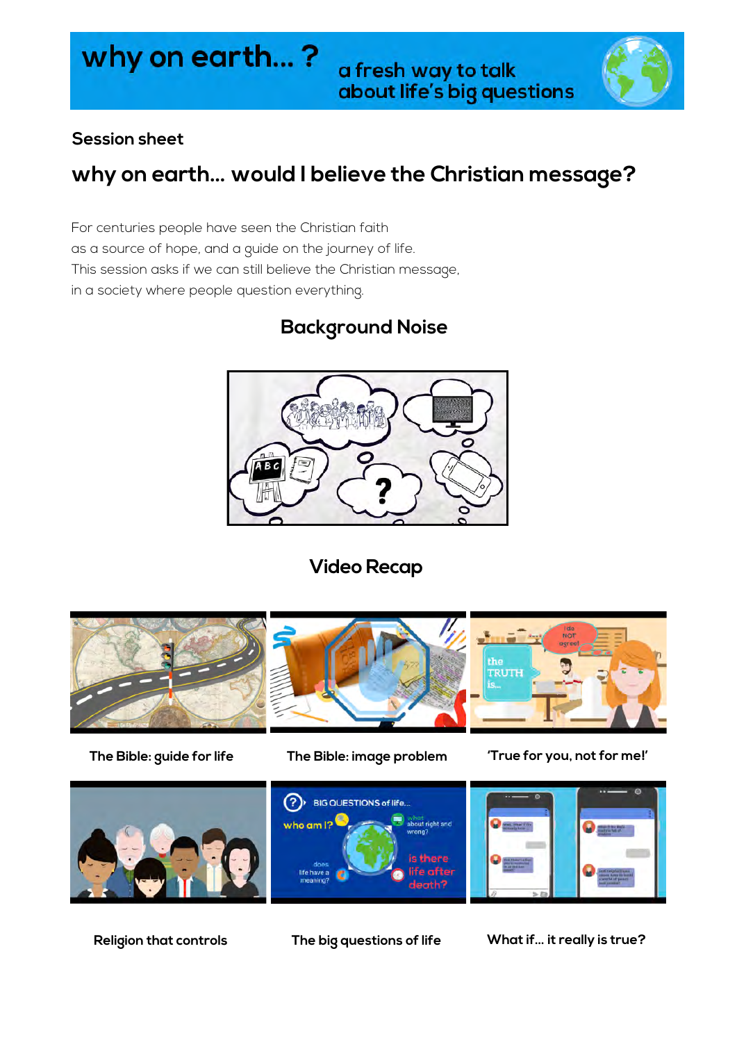# why on earth...?



#### **Session sheet**

# **why on earth… would I believe the Christian message?**

For centuries people have seen the Christian faith as a source of hope, and a guide on the journey of life. This session asks if we can still believe the Christian message, in a society where people question everything.

## **Background Noise**



**Video Recap**







**The Bible: guide for life The Bible: image problem 'True for you, not for me!'**



**Religion that controls The big questions of life What if… it really is true?**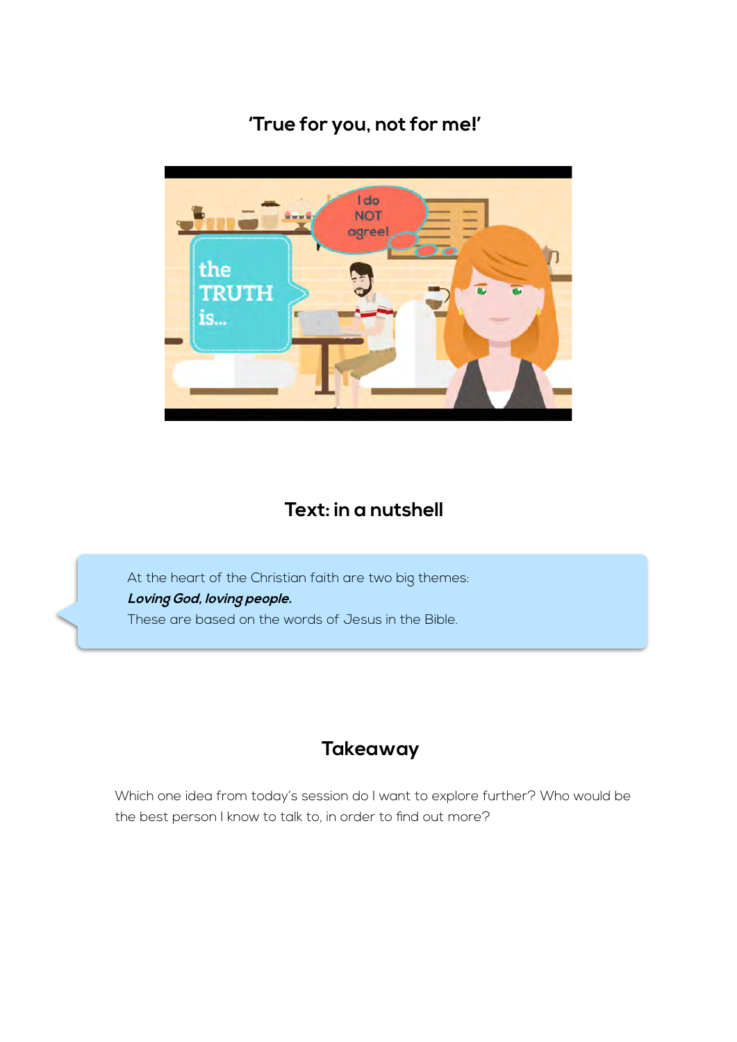### **'True for you, not for me!'**



#### **Text: in a nutshell**

At the heart of the Christian faith are two big themes: **Loving God, loving people.** These are based on the words of Jesus in the Bible.

#### **Takeaway**

Which one idea from today's session do I want to explore further? Who would be the best person I know to talk to, in order to find out more?